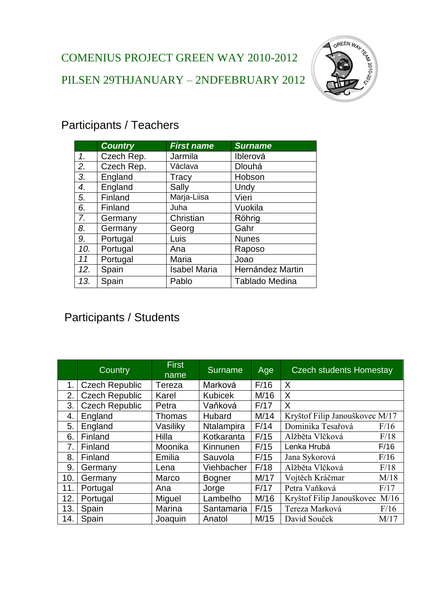

## Participants / Teachers

|     | <b>Country</b> | <b>First name</b>                       | <b>Surname</b> |
|-----|----------------|-----------------------------------------|----------------|
| 1.  | Czech Rep.     | Jarmila                                 | Iblerová       |
| 2.  | Czech Rep.     | Václava                                 | <b>Dlouhá</b>  |
| 3.  | England        | Tracy                                   | Hobson         |
| 4.  | England        | Sally                                   | Undy           |
| 5.  | Finland        | Marja-Liisa                             | Vieri          |
| 6.  | Finland        | Juha                                    | Vuokila        |
| 7.  | Germany        | Christian                               | Röhrig         |
| 8.  | Germany        | Georg                                   | Gahr           |
| 9.  | Portugal       | Luis                                    | <b>Nunes</b>   |
| 10. | Portugal       | Ana<br>Raposo                           |                |
| 11  | Portugal       | Maria<br>Joao                           |                |
| 12. | Spain          | Hernández Martin<br><b>Isabel Maria</b> |                |
| 13. | Spain          | <b>Tablado Medina</b><br>Pablo          |                |

## Participants / Students

|     | Country               | <b>First</b><br>name | <b>Surname</b> | Age  | <b>Czech students Homestay</b>    |
|-----|-----------------------|----------------------|----------------|------|-----------------------------------|
| 1.  | <b>Czech Republic</b> | Tereza               | Marková        | F/16 | X                                 |
| 2.  | <b>Czech Republic</b> | Karel                | <b>Kubicek</b> | M/16 | X                                 |
| 3.  | <b>Czech Republic</b> | Petra                | Vaňková        | F/17 | X                                 |
| 4.  | England               | Thomas               | Hubard         | M/14 | Kryštof Filip Janouškovec M/17    |
| 5.  | England               | Vasiliky             | Ntalampira     | F/14 | Dominika Tesařová<br>F/16         |
| 6.  | Finland               | Hilla                | Kotkaranta     | F/15 | F/18<br>Alžběta Vlčková           |
| 7.  | Finland               | Moonika              | Kinnunen       | F/15 | Lenka Hrubá<br>F/16               |
| 8.  | Finland               | Emilia               | Sauvola        | F/15 | Jana Sykorová<br>F/16             |
| 9.  | Germany               | Lena                 | Viehbacher     | F/18 | Alžběta Vlčková<br>F/18           |
| 10. | Germany               | Marco                | <b>Bogner</b>  | M/17 | M/18<br>Vojtěch Kráčmar           |
| 11. | Portugal              | Ana                  | Jorge          | F/17 | Petra Vaňková<br>F/17             |
| 12. | Portugal              | Miguel               | Lambelho       | M/16 | M/16<br>Kryštof Filip Janouškovec |
| 13. | Spain                 | Marina               | Santamaria     | F/15 | Tereza Marková<br>F/16            |
| 14. | Spain                 | Joaquin              | Anatol         | M/15 | David Souček<br>M/17              |